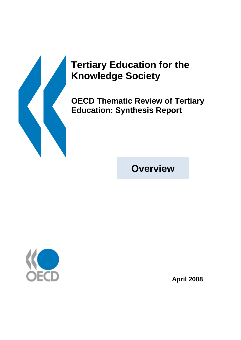

# **Tertiary Education for the Knowledge Society**

**OECD Thematic Review of Tertiary Education: Synthesis Report** 

# **Overview**



**April 2008**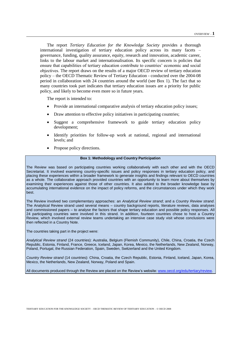The report *Tertiary Education for the Knowledge Society* provides a thorough international investigation of tertiary education policy across its many facets – governance, funding, quality assurance, equity, research and innovation, academic career, links to the labour market and internationalisation. Its specific concern is policies that ensure that capabilities of tertiary education contribute to countries' economic and social objectives. The report draws on the results of a major OECD review of tertiary education policy – the OECD Thematic Review of Tertiary Education - conducted over the 2004-08 period in collaboration with 24 countries around the world (see Box 1). The fact that so many countries took part indicates that tertiary education issues are a priority for public policy, and likely to become even more so in future years.

The report is intended to:

- Provide an international comparative analysis of tertiary education policy issues;
- Draw attention to effective policy initiatives in participating countries;
- Suggest a comprehensive framework to guide tertiary education policy development;
- Identify priorities for follow-up work at national, regional and international levels; and
- Propose policy directions.

#### **Box 1: Methodology and Country Participation**

The Review was based on participating countries working collaboratively with each other and with the OECD Secretariat. It involved examining country-specific issues and policy responses in tertiary education policy, and placing these experiences within a broader framework to generate insights and findings relevant to OECD countries as a whole. The collaborative approach provided countries with an opportunity to learn more about themselves by examining their experiences against those of other countries. It also added to the broader knowledge base by accumulating international evidence on the impact of policy reforms, and the circumstances under which they work best.

The Review involved two complementary approaches: an *Analytical Review strand*; and a *Country Review strand*. The Analytical Review strand used several means – country background reports, literature reviews, data analyses and commissioned papers – to analyse the factors that shape tertiary education and possible policy responses. All 24 participating countries were involved in this strand. In addition, fourteen countries chose to host a Country Review, which involved external review teams undertaking an intensive case study visit whose conclusions were then reflected in a Country Note.

The countries taking part in the project were:

*Analytical Review strand* (24 countries): Australia, Belgium (Flemish Community), Chile, China, Croatia, the Czech Republic, Estonia, Finland, France, Greece, Iceland, Japan, Korea, Mexico, the Netherlands, New Zealand, Norway, Poland, Portugal, the Russian Federation, Spain, Sweden, Switzerland and the United Kingdom.

*Country Review strand* (14 countries): China, Croatia, the Czech Republic, Estonia, Finland, Iceland, Japan, Korea, Mexico, the Netherlands, New Zealand, Norway, Poland and Spain.

All documents produced through the Review are placed on the Review's website: [www.oecd.org/edu/tertiary/review.](http://www.oecd.org/edu/tertiary/review)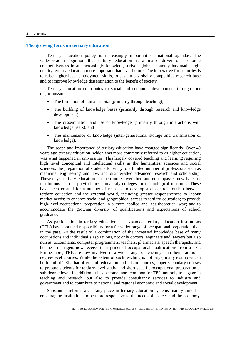#### **The growing focus on tertiary education**

Tertiary education policy is increasingly important on national agendas. The widespread recognition that tertiary education is a major driver of economic competitiveness in an increasingly knowledge-driven global economy has made highquality tertiary education more important than ever before. The imperative for countries is to raise higher-level employment skills, to sustain a globally competitive research base and to improve knowledge dissemination to the benefit of society.

Tertiary education contributes to social and economic development through four major missions:

- The formation of human capital (primarily through teaching);
- The building of knowledge bases (primarily through research and knowledge development);
- The dissemination and use of knowledge (primarily through interactions with knowledge users); and
- The maintenance of knowledge (inter-generational storage and transmission of knowledge).

The scope and importance of tertiary education have changed significantly. Over 40 years ago tertiary education, which was more commonly referred to as higher education, was what happened in universities. This largely covered teaching and learning requiring high level conceptual and intellectual skills in the humanities, sciences and social sciences, the preparation of students for entry to a limited number of professions such as medicine, engineering and law, and disinterested advanced research and scholarship. These days, tertiary education is much more diversified and encompasses new types of institutions such as polytechnics, university colleges, or technological institutes. These have been created for a number of reasons: to develop a closer relationship between tertiary education and the external world, including greater responsiveness to labour market needs; to enhance social and geographical access to tertiary education; to provide high-level occupational preparation in a more applied and less theoretical way; and to accommodate the growing diversity of qualifications and expectations of school graduates.

As participation in tertiary education has expanded, tertiary education institutions (TEIs) have assumed responsibility for a far wider range of occupational preparation than in the past. As the result of a combination of the increased knowledge base of many occupations and individual"s aspirations, not only doctors, engineers and lawyers but also nurses, accountants, computer programmers, teachers, pharmacists, speech therapists, and business managers now receive their principal occupational qualifications from a TEI. Furthermore, TEIs are now involved in a wider range of teaching than their traditional degree-level courses. While the extent of such teaching is not large, many examples can be found of TEIs that offer adult education and leisure courses, upper secondary courses to prepare students for tertiary-level study, and short specific occupational preparation at sub-degree level. In addition, it has become more common for TEIs not only to engage in teaching and research, but also to provide consultancy services to industry and government and to contribute to national and regional economic and social development.

Substantial reforms are taking place in tertiary education systems mainly aimed at encouraging institutions to be more responsive to the needs of society and the economy.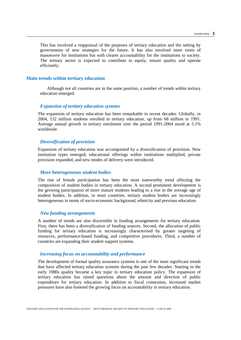This has involved a reappraisal of the purposes of tertiary education and the setting by governments of new strategies for the future. It has also involved more room of manoeuvre for institutions but with clearer accountability for the institutions to society. The tertiary sector is expected to contribute to equity, ensure quality and operate efficiently.

# **Main trends within tertiary education**

Although not all countries are in the same position, a number of trends within tertiary education emerged.

#### *Expansion of tertiary education systems*

The expansion of tertiary education has been remarkable in recent decades. Globally, in 2004, 132 million students enrolled in tertiary education, up from 68 million in 1991. Average annual growth in tertiary enrolment over the period 1991-2004 stood at 5.1% worldwide.

### *Diversification of provision*

Expansion of tertiary education was accompanied by a diversification of provision. New institution types emerged, educational offerings within institutions multiplied, private provision expanded, and new modes of delivery were introduced.

# *More heterogeneous student bodies*

The rise of female participation has been the most noteworthy trend affecting the composition of student bodies in tertiary education. A second prominent development is the growing participation of more mature students leading to a rise in the average age of student bodies. In addition, in most countries, tertiary student bodies are increasingly heterogeneous in terms of socio-economic background, ethnicity and previous education.

#### *New funding arrangements*

A number of trends are also discernible in funding arrangements for tertiary education. First, there has been a diversification of funding sources. Second, the allocation of public funding for tertiary education is increasingly characterised by greater targeting of resources, performance-based funding, and competitive procedures. Third, a number of countries are expanding their student support systems.

## *Increasing focus on accountability and performance*

The development of formal quality assurance systems is one of the most significant trends that have affected tertiary education systems during the past few decades. Starting in the early 1980s quality became a key topic in tertiary education policy. The expansion of tertiary education has raised questions about the amount and direction of public expenditure for tertiary education. In addition to fiscal constraints, increased market pressures have also fostered the growing focus on accountability in tertiary education.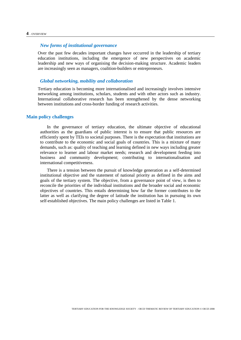#### *New forms of institutional governance*

Over the past few decades important changes have occurred in the leadership of tertiary education institutions, including the emergence of new perspectives on academic leadership and new ways of organising the decision-making structure. Academic leaders are increasingly seen as managers, coalition-builders or entrepreneurs.

#### *Global networking, mobility and collaboration*

Tertiary education is becoming more internationalised and increasingly involves intensive networking among institutions, scholars, students and with other actors such as industry. International collaborative research has been strengthened by the dense networking between institutions and cross-border funding of research activities.

# **Main policy challenges**

In the governance of tertiary education, the ultimate objective of educational authorities as the guardians of public interest is to ensure that public resources are efficiently spent by TEIs to societal purposes. There is the expectation that institutions are to contribute to the economic and social goals of countries. This is a mixture of many demands, such as: quality of teaching and learning defined in new ways including greater relevance to learner and labour market needs; research and development feeding into business and community development; contributing to internationalisation and international competitiveness.

There is a tension between the pursuit of knowledge generation as a self-determined institutional objective and the statement of national priority as defined in the aims and goals of the tertiary system. The objective, from a governance point of view, is then to reconcile the priorities of the individual institutions and the broader social and economic objectives of countries. This entails determining how far the former contributes to the latter as well as clarifying the degree of latitude the institution has in pursuing its own self-established objectives. The main policy challenges are listed in Table 1.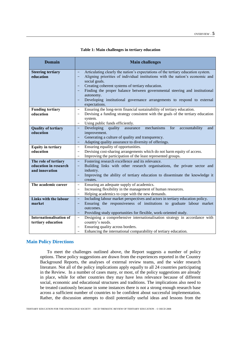| <b>Domain</b>                           | <b>Main challenges</b>                                                                                                                                                                        |
|-----------------------------------------|-----------------------------------------------------------------------------------------------------------------------------------------------------------------------------------------------|
| <b>Steering tertiary</b><br>education   | Articulating clearly the nation's expectations of the tertiary education system.<br>$\overline{\phantom{0}}$<br>Aligning priorities of individual institutions with the nation's economic and |
|                                         | social goals.                                                                                                                                                                                 |
|                                         | Creating coherent systems of tertiary education.<br>$\qquad \qquad -$<br>Finding the proper balance between governmental steering and institutional                                           |
|                                         | autonomy.                                                                                                                                                                                     |
|                                         | Developing institutional governance arrangements to respond to external<br>$\overline{\phantom{a}}$                                                                                           |
|                                         | expectations.                                                                                                                                                                                 |
| <b>Funding tertiary</b>                 | Ensuring the long-term financial sustainability of tertiary education.<br>$\qquad \qquad -$                                                                                                   |
| education                               | Devising a funding strategy consistent with the goals of the tertiary education<br>$\qquad \qquad -$                                                                                          |
|                                         | system.                                                                                                                                                                                       |
|                                         | Using public funds efficiently.<br>$\qquad \qquad -$                                                                                                                                          |
| <b>Quality of tertiary</b><br>education | Developing<br>mechanisms<br>quality assurance<br>for<br>accountability<br>$\overline{\phantom{m}}$<br>and<br>improvement.                                                                     |
|                                         | Generating a culture of quality and transparency.<br>-                                                                                                                                        |
|                                         | Adapting quality assurance to diversity of offerings.<br>-                                                                                                                                    |
| <b>Equity in tertiary</b>               | Ensuring equality of opportunities.<br>$\overline{\phantom{a}}$                                                                                                                               |
| education                               | Devising cost-sharing arrangements which do not harm equity of access.<br>$\overline{\phantom{a}}$                                                                                            |
|                                         | Improving the participation of the least represented groups.<br>-                                                                                                                             |
| The role of tertiary                    | Fostering research excellence and its relevance.<br>$\overline{\phantom{m}}$                                                                                                                  |
| education in research                   | Building links with other research organisations, the private sector and<br>$\overline{\phantom{m}}$                                                                                          |
| and innovation                          | industry.<br>Improving the ability of tertiary education to disseminate the knowledge it<br>$\overline{\phantom{a}}$                                                                          |
|                                         | creates.                                                                                                                                                                                      |
| The academic career                     | Ensuring an adequate supply of academics.<br>$\qquad \qquad -$                                                                                                                                |
|                                         | Increasing flexibility in the management of human resources.<br>$\overline{\phantom{a}}$                                                                                                      |
|                                         | Helping academics to cope with the new demands.<br>$\overline{\phantom{m}}$                                                                                                                   |
| Links with the labour                   | Including labour market perspectives and actors in tertiary education policy.<br>$\overline{\phantom{a}}$                                                                                     |
| market                                  | Ensuring the responsiveness of institutions to graduate labour market<br>$\qquad \qquad -$                                                                                                    |
|                                         | outcomes.<br>Providing study opportunities for flexible, work-oriented study.<br>-                                                                                                            |
| <b>Internationalisation of</b>          | Designing a comprehensive internationalisation strategy in accordance with<br>$\overline{\phantom{a}}$                                                                                        |
| tertiary education                      | country's needs.                                                                                                                                                                              |
|                                         | Ensuring quality across borders.                                                                                                                                                              |
|                                         | Enhancing the international comparability of tertiary education.                                                                                                                              |

#### **Table 1: Main challenges in tertiary education**

#### **Main Policy Directions**

To meet the challenges outlined above, the Report suggests a number of policy options. These policy suggestions are drawn from the experiences reported in the Country Background Reports, the analyses of external review teams, and the wider research literature. Not all of the policy implications apply equally to all 24 countries participating in the Review. In a number of cases many, or most, of the policy suggestions are already in place, while for other countries they may have less relevance because of different social, economic and educational structures and traditions. The implications also need to be treated cautiously because in some instances there is not a strong enough research base across a sufficient number of countries to be confident about successful implementation. Rather, the discussion attempts to distil potentially useful ideas and lessons from the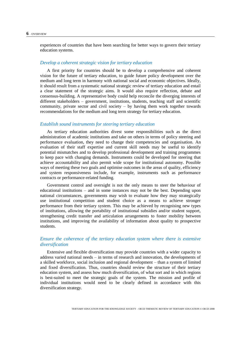experiences of countries that have been searching for better ways to govern their tertiary education systems.

#### *Develop a coherent strategic vision for tertiary education*

A first priority for countries should be to develop a comprehensive and coherent vision for the future of tertiary education, to guide future policy development over the medium and long term in harmony with national social and economic objectives. Ideally, it should result from a systematic national strategic review of tertiary education and entail a clear statement of the strategic aims. It would also require reflection, debate and consensus-building. A representative body could help reconcile the diverging interests of different stakeholders – government, institutions, students, teaching staff and scientific community, private sector and civil society – by having them work together towards recommendations for the medium and long term strategy for tertiary education.

# *Establish sound instruments for steering tertiary education*

As tertiary education authorities divest some responsibilities such as the direct administration of academic institutions and take on others in terms of policy steering and performance evaluation, they need to change their competencies and organisation. An evaluation of their staff expertise and current skill needs may be useful to identify potential mismatches and to develop professional development and training programmes to keep pace with changing demands. Instruments could be developed for steering that achieve accountability and also permit wide scope for institutional autonomy. Possible ways of meeting these two goals and optimise outcomes in the areas of quality, efficiency and system responsiveness include, for example, instruments such as performance contracts or performance-related funding.

Government control and oversight is not the only means to steer the behaviour of educational institutions – and in some instances may not be the best. Depending upon national circumstances, governments may wish to evaluate how they may strategically use institutional competition and student choice as a means to achieve stronger performance from their tertiary system. This may be achieved by recognising new types of institutions, allowing the portability of institutional subsidies and/or student support, strengthening credit transfer and articulation arrangements to foster mobility between institutions, and improving the availability of information about quality to prospective students.

# *Ensure the coherence of the tertiary education system where there is extensive diversification*

Extensive and flexible diversification may provide countries with a wider capacity to address varied national needs – in terms of research and innovation, the developments of a skilled workforce, social inclusion and regional development – than a system of limited and fixed diversification. Thus, countries should review the structure of their tertiary education system, and assess how much diversification, of what sort and in which regions is best-suited to meet the strategic goals of the system. The mission and profile of individual institutions would need to be clearly defined in accordance with this diversification strategy.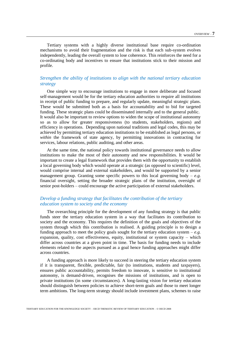Tertiary systems with a highly diverse institutional base require co-ordination mechanisms to avoid their fragmentation and the risk is that each sub-system evolves independently, leading the overall system to lose coherence. This reinforces the need for a co-ordinating body and incentives to ensure that institutions stick to their mission and profile.

# *Strengthen the ability of institutions to align with the national tertiary education strategy*

One simple way to encourage institutions to engage in more deliberate and focused self-management would be for the tertiary education authorities to require all institutions in receipt of public funding to prepare, and regularly update, meaningful strategic plans. These would be submitted both as a basis for accountability and to bid for targeted funding. These strategic plans could be disseminated internally and to the general public. It would also be important to review options to widen the scope of institutional autonomy so as to allow for greater responsiveness (to students, stakeholders, regions) and efficiency in operations. Depending upon national traditions and legal codes, this may be achieved by permitting tertiary education institutions to be established as legal persons, or *within* the framework of state agency, by permitting innovations in contracting for services, labour relations, public auditing, and other areas.

At the same time, the national policy towards institutional governance needs to allow institutions to make the most of their autonomy and new responsibilities. It would be important to create a legal framework that provides them with the opportunity to establish a local governing body which would operate at a strategic (as opposed to scientific) level, would comprise internal and external stakeholders, and would be supported by a senior management group. Granting some specific powers to this local governing body – *e.g.* financial oversight, setting the broader strategic plans of the institution, oversight of senior post-holders – could encourage the active participation of external stakeholders.

# *Develop a funding strategy that facilitates the contribution of the tertiary education system to society and the economy*

The overarching principle for the development of any funding strategy is that public funds steer the tertiary education system in a way that facilitates its contribution to society and the economy. This requires the definition of the goals and objectives of the system through which this contribution is realised. A guiding principle is to design a funding approach to meet the policy goals sought for the tertiary education system  $-e.g.$ expansion, quality, cost effectiveness, equity, institutional or system capacity – which differ across countries at a given point in time. The basis for funding needs to include elements related to the aspects pursued as a goal hence funding approaches might differ across countries.

A funding approach is more likely to succeed in steering the tertiary education system if it is transparent, flexible, predictable, fair (to institutions, students and taxpayers), ensures public accountability, permits freedom to innovate, is sensitive to institutional autonomy, is demand-driven, recognises the missions of institutions, and is open to private institutions (in some circumstances). A long-lasting vision for tertiary education should distinguish between policies to achieve short-term goals and those to meet longer term ambitions. The long-term strategy should include investment plans, schemes to raise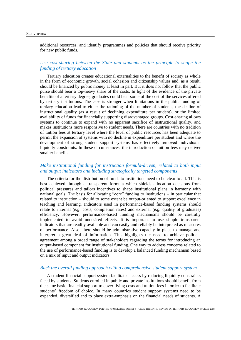additional resources, and identify programmes and policies that should receive priority for new public funds.

# *Use cost-sharing between the State and students as the principle to shape the funding of tertiary education*

Tertiary education creates educational externalities to the benefit of society as whole in the form of economic growth, social cohesion and citizenship values and, as a result, should be financed by public money at least in part. But it does not follow that the public purse should bear a top-heavy share of the costs. In light of the evidence of the private benefits of a tertiary degree, graduates could bear some of the cost of the services offered by tertiary institutions. The case is stronger when limitations in the public funding of tertiary education lead to either the rationing of the number of students, the decline of instructional quality (as a result of declining expenditure per student), or the limited availability of funds for financially supporting disadvantaged groups. Cost-sharing allows systems to continue to expand with no apparent sacrifice of instructional quality, and makes institutions more responsive to student needs. There are countries with no tradition of tuition fees at tertiary level where the level of public resources has been adequate to permit the expansion of systems with no decline in expenditure per student and where the development of strong student support systems has effectively removed individuals" liquidity constraints. In these circumstances, the introduction of tuition fees may deliver smaller benefits.

# *Make institutional funding for instruction formula-driven, related to both input and output indicators and including strategically targeted components*

The criteria for the distribution of funds to institutions need to be clear to all. This is best achieved through a transparent formula which shields allocation decisions from political pressures and tailors incentives to shape institutional plans in harmony with national goals. The basis for allocating "core" funding to institutions – in particular that related to instruction – should to some extent be output-oriented to support excellence in teaching and learning. Indicators used in performance-based funding systems should relate to internal (*e.g.* costs, completion rates) and external (*e.g.* quality of graduates) efficiency. However, performance-based funding mechanisms should be carefully implemented to avoid undesired effects. It is important to use simple transparent indicators that are readily available and can easily and reliably be interpreted as measures of performance. Also, there should be administrative capacity in place to manage and interpret a great deal of information. This highlights the need to achieve political agreement among a broad range of stakeholders regarding the terms for introducing an output-based component for institutional funding. One way to address concerns related to the use of performance-based funding is to develop a balanced funding mechanism based on a mix of input and output indicators.

# *Back the overall funding approach with a comprehensive student support system*

A student financial support system facilitates access by reducing liquidity constraints faced by students. Students enrolled in public and private institutions should benefit from the same basic financial support to cover living costs and tuition fees in order to facilitate students" freedom of choice. In many countries student support systems need to be expanded, diversified and to place extra-emphasis on the financial needs of students. A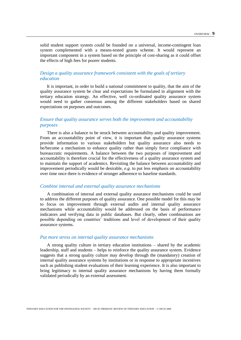solid student support system could be founded on a universal, income-contingent loan system complemented with a means-tested grants scheme. It would represent an important component in a system based on the principle of cost-sharing as it could offset the effects of high fees for poorer students.

# *Design a quality assurance framework consistent with the goals of tertiary education*

It is important, in order to build a national commitment to quality, that the aim of the quality assurance system be clear and expectations be formulated in alignment with the tertiary education strategy. An effective, well co-ordinated quality assurance system would need to gather consensus among the different stakeholders based on shared expectations on purposes and outcomes.

# *Ensure that quality assurance serves both the improvement and accountability purposes*

There is also a balance to be struck between accountability and quality improvement. From an accountability point of view, it is important that quality assurance systems provide information to various stakeholders but quality assurance also needs to be/become a mechanism to enhance quality rather than simply force compliance with bureaucratic requirements. A balance between the two purposes of improvement and accountability is therefore crucial for the effectiveness of a quality assurance system and to maintain the support of academics. Revisiting the balance between accountability and improvement periodically would be desirable, *e.g.* to put less emphasis on accountability over time once there is evidence of stronger adherence to baseline standards.

#### *Combine internal and external quality assurance mechanisms*

A combination of internal and external quality assurance mechanisms could be used to address the different purposes of quality assurance. One possible model for this may be to focus on improvement through external audits and internal quality assurance mechanisms while accountability would be addressed on the basis of performance indicators and verifying data in public databases. But clearly, other combinations are possible depending on countries" traditions and level of development of their quality assurance systems.

#### *Put more stress on internal quality assurance mechanisms*

A strong quality culture in tertiary education institutions – shared by the academic leadership, staff and students – helps to reinforce the quality assurance system. Evidence suggests that a strong quality culture may develop through the (mandatory) creation of internal quality assurance systems by institutions or in response to appropriate incentives such as publishing student evaluations of their learning experience. It is also important to bring legitimacy to internal quality assurance mechanisms by having them formally validated periodically by an external assessment.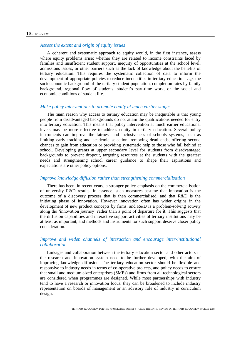#### *Assess the extent and origin of equity issues*

A coherent and systematic approach to equity would, in the first instance, assess where equity problems arise: whether they are related to income constraints faced by families and insufficient student support, inequity of opportunities at the school level, admissions issues, or other barriers such as the lack of knowledge about the benefits of tertiary education. This requires the systematic collection of data to inform the development of appropriate policies to reduce inequalities in tertiary education, *e.g.* the socioeconomic background of the tertiary student population, completion rates by family background, regional flow of students, student's part-time work, or the social and economic conditions of student life.

# *Make policy interventions to promote equity at much earlier stages*

The main reason why access to tertiary education may be inequitable is that young people from disadvantaged backgrounds do not attain the qualifications needed for entry into tertiary education. This means that policy intervention at much earlier educational levels may be more effective to address equity in tertiary education. Several policy instruments can improve the fairness and inclusiveness of schools systems, such as limiting early tracking and academic selection, removing dead ends, offering second chances to gain from education or providing systematic help to those who fall behind at school. Developing grants at upper secondary level for students from disadvantaged backgrounds to prevent dropout, targeting resources at the students with the greatest needs and strengthening school career guidance to shape their aspirations and expectations are other policy options.

#### *Improve knowledge diffusion rather than strengthening commercialisation*

There has been, in recent years, a stronger policy emphasis on the commercialisation of university R&D results. In essence, such measures assume that innovation is the outcome of a discovery process that is then commercialised, and that R&D is the initiating phase of innovation. However innovation often has wider origins in the development of new product concepts by firms, and R&D is a problem-solving activity along the "innovation journey" rather than a point of departure for it. This suggests that the diffusion capabilities and interactive support activities of tertiary institutions may be at least as important, and methods and instruments for such support deserve closer policy consideration.

# *Improve and widen channels of interaction and encourage inter-institutional collaboration*

Linkages and collaboration between the tertiary education sector and other actors in the research and innovation system need to be further developed, with the aim of improving knowledge diffusion. The tertiary education sector should be flexible and responsive to industry needs in terms of co-operative projects, and policy needs to ensure that small and medium-sized enterprises (SMEs) and firms from all technological sectors are considered when programmes are designed. While most partnerships with industry tend to have a research or innovation focus, they can be broadened to include industry representation on boards of management or an advisory role of industry in curriculum design.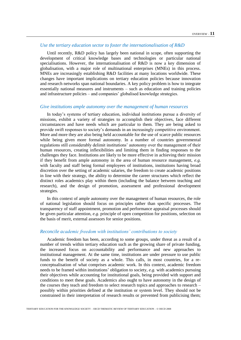#### *Use the tertiary education sector to foster the internationalisation of R&D*

Until recently, R&D policy has largely been national in scope, often supporting the development of critical knowledge bases and technologies or particular national specialisations. However, the internationalisation of R&D is now a key dimension of globalisation, with a major role of multinational enterprises (MNEs) in this process. MNEs are increasingly establishing R&D facilities at many locations worldwide. These changes have important implications on tertiary education policies because innovation and research networks span national boundaries. A key policy problem is how to integrate essentially national measures and instruments – such as education and training policies and infrastructure policies – and companies" globalised knowledge strategies.

# *Give institutions ample autonomy over the management of human resources*

In today"s systems of tertiary education, individual institutions pursue a diversity of missions, exhibit a variety of strategies to accomplish their objectives, face different circumstances and have needs which are particular to them. They are being asked to provide swift responses to society"s demands in an increasingly competitive environment. More and more they are also being held accountable for the use of scarce public resources while being given more formal autonomy. In a number of countries governmental regulations still considerably delimit institutions" autonomy over the management of their human resources, creating inflexibilities and limiting them in finding responses to the challenges they face. Institutions are likely to be more effective in achieving their mission if they benefit from ample autonomy in the area of human resource management, *e.g.* with faculty and staff being formal employees of institutions, institutions having broad discretion over the setting of academic salaries, the freedom to create academic positions in line with their strategy, the ability to determine the career structures which reflect the distinct roles academics play within them (including the balance between teaching and research), and the design of promotion, assessment and professional development strategies.

In this context of ample autonomy over the management of human resources, the role of national legislation should focus on principles rather than specific processes. The transparency of staff appointment, promotion and performance appraisal processes should be given particular attention, *e.g.* principle of open competition for positions, selection on the basis of merit, external assessors for senior positions.

## *Reconcile academic freedom with institutions' contributions to society*

Academic freedom has been, according to some groups, under threat as a result of a number of trends within tertiary education such as the growing share of private funding, the increased focus on accountability and performance and new approaches to institutional management. At the same time, institutions are under pressure to use public funds to the benefit of society as a whole. This calls, in most countries, for a reconceptualisation of what comprises academic work. In this context, academic freedom needs to be framed within institutions" obligation to society, *e.g.* with academics pursuing their objectives while accounting for institutional goals, being provided with support and conditions to meet these goals. Academics also ought to have autonomy in the design of the courses they teach and freedom to select research topics and approaches to research – possibly within priorities defined at the institution or system level. They should not be constrained in their interpretation of research results or prevented from publicising them;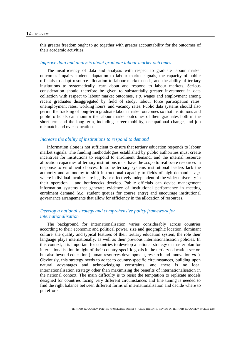this greater freedom ought to go together with greater accountability for the outcomes of their academic activities.

# *Improve data and analysis about graduate labour market outcomes*

The insufficiency of data and analysis with respect to graduate labour market outcomes impairs student adaptation to labour market signals, the capacity of public officials to adapt resource allocation to labour market needs, and the ability of tertiary institutions to systematically learn about and respond to labour markets. Serious consideration should therefore be given to substantially greater investment in data collection with respect to labour market outcomes, *e.g.* wages and employment among recent graduates disaggregated by field of study, labour force participation rates, unemployment rates, working hours, and vacancy rates. Public data systems should also permit the tracking of long-term graduate labour market outcomes so that institutions and public officials can monitor the labour market outcomes of their graduates both in the short-term and the long-term, including career mobility, occupational change, and job mismatch and over-education.

# *Increase the ability of institutions to respond to demand*

Information alone is not sufficient to ensure that tertiary education responds to labour market signals. The funding methodologies established by public authorities must create incentives for institutions to respond to enrolment demand, and the internal resource allocation capacities of tertiary institutions must have the *scope* to reallocate resources in response to enrolment choices. In some tertiary systems institutional leaders lack the authority and autonomy to shift instructional capacity to fields of high demand – *e.g.* where individual faculties are legally or effectively independent of the wider university in their operation – and bottlenecks develop. Public officials can devise management information systems that generate evidence of institutional performance in meeting enrolment demand (*e.g.* student queues for course entry) and encourage institutional governance arrangements that allow for efficiency in the allocation of resources.

# *Develop a national strategy and comprehensive policy framework for internationalisation*

The background for internationalisation varies considerably across countries according to their economic and political power, size and geographic location, dominant culture, the quality and typical features of their tertiary education system, the role their language plays internationally, as well as their previous internationalisation policies. In this context, it is important for countries to develop a national strategy or master plan for internationalisation in light of their country-specific goals in the tertiary education sector, but also beyond education (human resources development, research and innovation *etc.*). Obviously, this strategy needs to adapt to country-specific circumstances, building upon natural advantages and acknowledging constraints, and there is no ideal internationalisation strategy other than maximising the benefits of internationalisation in the national context. The main difficulty is to resist the temptation to replicate models designed for countries facing very different circumstances and fine tuning is needed to find the right balance between different forms of internationalisation and decide where to put efforts.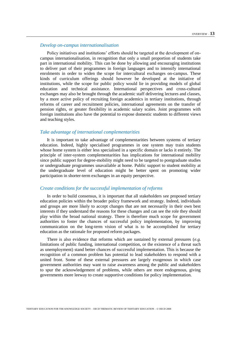### *Develop on-campus internationalisation*

Policy initiatives and institutions" efforts should be targeted at the development of oncampus internationalisation, in recognition that only a small proportion of students take part in international mobility. This can be done by allowing and encouraging institutions to deliver part of their programmes in foreign languages and to intensify international enrolments in order to widen the scope for intercultural exchanges on-campus. These kinds of curriculum offerings should however be developed at the initiative of institutions, while the scope for public policy would lie in providing models of global education and technical assistance. International perspectives and cross-cultural exchanges may also be brought through the academic staff delivering lectures and classes, by a more active policy of recruiting foreign academics in tertiary institutions, through reforms of career and recruitment policies, international agreements on the transfer of pension rights, or greater flexibility in academic salary scales. Joint programmes with foreign institutions also have the potential to expose domestic students to different views and teaching styles.

# *Take advantage of international complementarities*

It is important to take advantage of complementarities between systems of tertiary education. Indeed, highly specialised programmes in one system may train students whose home system is either less specialised in a specific domain or lacks it entirely. The principle of inter-system complementarities has implications for international mobility since public support for degree-mobility might need to be targeted to postgraduate studies or undergraduate programmes unavailable at home. Public support to student mobility at the undergraduate level of education might be better spent on promoting wider participation in shorter-term exchanges in an equity perspective.

# *Create conditions for the successful implementation of reforms*

In order to build consensus, it is important that all stakeholders see proposed tertiary education policies within the broader policy framework and strategy. Indeed, individuals and groups are more likely to accept changes that are not necessarily in their own best interests if they understand the reasons for these changes and can see the role they should play within the broad national strategy. There is therefore much scope for government authorities to foster the chances of successful policy implementation, by improving communication on the long-term vision of what is to be accomplished for tertiary education as the rationale for proposed reform packages.

There is also evidence that reforms which are sustained by external pressures (*e.g.* limitations of public funding, international competition, or the existence of a threat such as unemployment) stand better chances of successful implementation. This is because the recognition of a common problem has potential to lead stakeholders to respond with a united front. Some of these external pressures are largely exogenous in which case government authorities may want to raise awareness among the public and stakeholders to spur the acknowledgement of problems, while others are more endogenous, giving governments more leeway to create supportive conditions for policy implementation.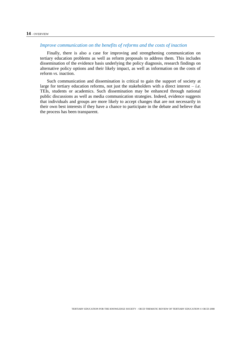# *Improve communication on the benefits of reforms and the costs of inaction*

Finally, there is also a case for improving and strengthening communication on tertiary education problems as well as reform proposals to address them. This includes dissemination of the evidence basis underlying the policy diagnosis, research findings on alternative policy options and their likely impact, as well as information on the costs of reform *vs.* inaction.

Such communication and dissemination is critical to gain the support of society at large for tertiary education reforms, not just the stakeholders with a direct interest – *i.e.* TEIs, students or academics. Such dissemination may be enhanced through national public discussions as well as media communication strategies. Indeed, evidence suggests that individuals and groups are more likely to accept changes that are not necessarily in their own best interests if they have a chance to participate in the debate and believe that the process has been transparent.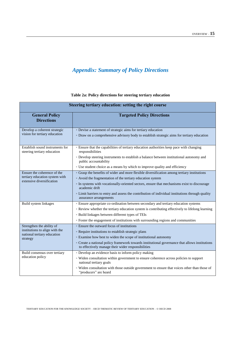# *Appendix: Summary of Policy Directions*

| Steering tertiary education: setting the right course                                                  |                                                                                                                                                                                                                                                                                                                                                                                                          |  |
|--------------------------------------------------------------------------------------------------------|----------------------------------------------------------------------------------------------------------------------------------------------------------------------------------------------------------------------------------------------------------------------------------------------------------------------------------------------------------------------------------------------------------|--|
| <b>General Policy</b><br><b>Directions</b>                                                             | <b>Targeted Policy Directions</b>                                                                                                                                                                                                                                                                                                                                                                        |  |
| Develop a coherent strategic<br>vision for tertiary education                                          | · Devise a statement of strategic aims for tertiary education<br>• Draw on a comprehensive advisory body to establish strategic aims for tertiary education                                                                                                                                                                                                                                              |  |
| Establish sound instruments for<br>steering tertiary education                                         | · Ensure that the capabilities of tertiary education authorities keep pace with changing<br>responsibilities<br>· Develop steering instruments to establish a balance between institutional autonomy and<br>public accountability<br>· Use student choice as a means by which to improve quality and efficiency                                                                                          |  |
| Ensure the coherence of the<br>tertiary education system with<br>extensive diversification             | • Grasp the benefits of wider and more flexible diversification among tertiary institutions<br>• Avoid the fragmentation of the tertiary education system<br>• In systems with vocationally-oriented sectors, ensure that mechanisms exist to discourage<br>academic drift<br>• Limit barriers to entry and assess the contribution of individual institutions through quality<br>assurance arrangements |  |
| Build system linkages                                                                                  | · Ensure appropriate co-ordination between secondary and tertiary education systems<br>• Review whether the tertiary education system is contributing effectively to lifelong learning<br>· Build linkages between different types of TEIs<br>· Foster the engagement of institutions with surrounding regions and communities                                                                           |  |
| Strengthen the ability of<br>institutions to align with the<br>national tertiary education<br>strategy | • Ensure the outward focus of institutions<br>• Require institutions to establish strategic plans<br>• Examine how best to widen the scope of institutional autonomy<br>• Create a national policy framework towards institutional governance that allows institutions<br>to effectively manage their wider responsibilities                                                                             |  |
| Build consensus over tertiary<br>education policy                                                      | · Develop an evidence basis to inform policy making<br>· Widen consultation within government to ensure coherence across policies to support<br>national tertiary goals<br>• Widen consultation with those outside government to ensure that voices other than those of<br>"producers" are heard                                                                                                         |  |

# **Table 2a: Policy directions for steering tertiary education**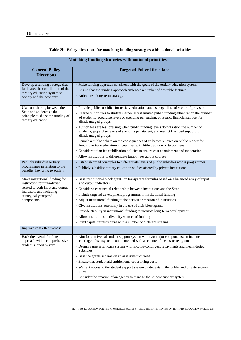# **Table 2b: Policy directions for matching funding strategies with national priorities**

| Matching funding strategies with national priorities                                                                                                                  |                                                                                                                                                                                                                                                                                                                                                                                                                                                                                                                                                                                                                                                                                                                                                                                                                                                                               |  |
|-----------------------------------------------------------------------------------------------------------------------------------------------------------------------|-------------------------------------------------------------------------------------------------------------------------------------------------------------------------------------------------------------------------------------------------------------------------------------------------------------------------------------------------------------------------------------------------------------------------------------------------------------------------------------------------------------------------------------------------------------------------------------------------------------------------------------------------------------------------------------------------------------------------------------------------------------------------------------------------------------------------------------------------------------------------------|--|
| <b>General Policy</b><br><b>Directions</b>                                                                                                                            | <b>Targeted Policy Directions</b>                                                                                                                                                                                                                                                                                                                                                                                                                                                                                                                                                                                                                                                                                                                                                                                                                                             |  |
| Develop a funding strategy that<br>facilitates the contribution of the<br>tertiary education system to<br>society and the economy                                     | • Make funding approach consistent with the goals of the tertiary education system<br>• Ensure that the funding approach embraces a number of desirable features<br>• Articulate a long-term strategy                                                                                                                                                                                                                                                                                                                                                                                                                                                                                                                                                                                                                                                                         |  |
| Use cost-sharing between the<br>State and students as the<br>principle to shape the funding of<br>tertiary education                                                  | · Provide public subsidies for tertiary education studies, regardless of sector of provision<br>• Charge tuition fees to students, especially if limited public funding either ration the number<br>of students, jeopardise levels of spending per student, or restrict financial support for<br>disadvantaged groups<br>· Tuition fees are less pressing when public funding levels do not ration the number of<br>students, jeopardise levels of spending per student, and restrict financial support for<br>disadvantaged groups<br>• Launch a public debate on the consequences of an heavy reliance on public money for<br>funding tertiary education in countries with little tradition of tuition fees<br>· Consider tuition fee stabilisation policies to ensure cost containment and moderation<br>• Allow institutions to differentiate tuition fees across courses |  |
| Publicly subsidise tertiary<br>programmes in relation to the<br>benefits they bring to society                                                                        | · Establish broad principles to differentiate levels of public subsidies across programmes<br>· Publicly subsidise tertiary education studies offered by private institutions                                                                                                                                                                                                                                                                                                                                                                                                                                                                                                                                                                                                                                                                                                 |  |
| Make institutional funding for<br>instruction formula-driven,<br>related to both input and output<br>indicators and including<br>strategically targeted<br>components | · Base institutional block grants on transparent formulas based on a balanced array of input<br>and output indicators<br>· Consider a contractual relationship between institutions and the State<br>· Include targeted development programmes in institutional funding<br>• Adjust institutional funding to the particular mission of institutions<br>· Give institutions autonomy in the use of their block grants<br>• Provide stability in institutional funding to promote long-term development<br>• Allow institutions to diversify sources of funding<br>· Fund capital infrastructure with a number of different streams                                                                                                                                                                                                                                             |  |
| Improve cost-effectiveness                                                                                                                                            |                                                                                                                                                                                                                                                                                                                                                                                                                                                                                                                                                                                                                                                                                                                                                                                                                                                                               |  |
| Back the overall funding<br>approach with a comprehensive<br>student support system                                                                                   | • Aim for a universal student support system with two major components: an income-<br>contingent loan system complemented with a scheme of means-tested grants<br>· Design a universal loans system with income-contingent repayments and means-tested<br>subsidies<br>· Base the grants scheme on an assessment of need<br>• Ensure that student aid entitlements cover living costs<br>• Warrant access to the student support system to students in the public and private sectors<br>alike<br>• Consider the creation of an agency to manage the student support system                                                                                                                                                                                                                                                                                                   |  |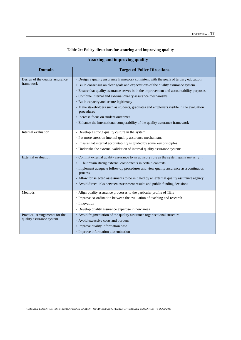# **Table 2c: Policy directions for assuring and improving quality**

| <b>Assuring and improving quality</b>                      |                                                                                                                                                                                                                                                                                                                                                                                                                                                                                                                                                                                                                   |  |
|------------------------------------------------------------|-------------------------------------------------------------------------------------------------------------------------------------------------------------------------------------------------------------------------------------------------------------------------------------------------------------------------------------------------------------------------------------------------------------------------------------------------------------------------------------------------------------------------------------------------------------------------------------------------------------------|--|
| <b>Domain</b>                                              | <b>Targeted Policy Directions</b>                                                                                                                                                                                                                                                                                                                                                                                                                                                                                                                                                                                 |  |
| Design of the quality assurance<br>framework               | · Design a quality assurance framework consistent with the goals of tertiary education<br>· Build consensus on clear goals and expectations of the quality assurance system<br>· Ensure that quality assurance serves both the improvement and accountability purposes<br>· Combine internal and external quality assurance mechanisms<br>· Build capacity and secure legitimacy<br>· Make stakeholders such as students, graduates and employers visible in the evaluation<br>procedures<br>• Increase focus on student outcomes<br>• Enhance the international comparability of the quality assurance framework |  |
| Internal evaluation                                        | · Develop a strong quality culture in the system<br>• Put more stress on internal quality assurance mechanisms<br>• Ensure that internal accountability is guided by some key principles<br>· Undertake the external validation of internal quality assurance systems                                                                                                                                                                                                                                                                                                                                             |  |
| <b>External evaluation</b>                                 | • Commit external quality assurance to an advisory role as the system gains maturity<br>•  but retain strong external components in certain contexts<br>· Implement adequate follow-up procedures and view quality assurance as a continuous<br>process<br>• Allow for selected assessments to be initiated by an external quality assurance agency<br>• Avoid direct links between assessment results and public funding decisions                                                                                                                                                                               |  |
| Methods                                                    | • Align quality assurance processes to the particular profile of TEIs<br>• Improve co-ordination between the evaluation of teaching and research<br>• Innovation<br>· Develop quality assurance expertise in new areas                                                                                                                                                                                                                                                                                                                                                                                            |  |
| Practical arrangements for the<br>quality assurance system | • Avoid fragmentation of the quality assurance organisational structure<br>• Avoid excessive costs and burdens<br>· Improve quality information base<br>· Improve information dissemination                                                                                                                                                                                                                                                                                                                                                                                                                       |  |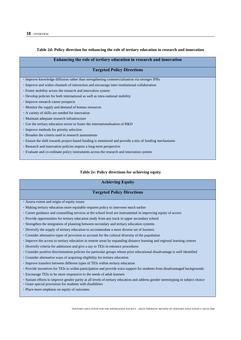#### **Table 2d: Policy direction for enhancing the role of tertiary education in research and innovation**

#### **Enhancing the role of tertiary education in research and innovation**

# **Targeted Policy Directions**

◦ Improve knowledge diffusion rather than strengthening commercialisation via stronger IPRs

- Improve and widen channels of interaction and encourage inter-institutional collaboration
- Foster mobility across the research and innovation system
- Develop policies for both international as well as intra-national mobility
- Improve research career prospects
- Monitor the supply and demand of human resources
- A variety of skills are needed for innovation
- Maintain adequate research infrastructure
- Use the tertiary education sector to foster the internationalisation of R&D
- Improve methods for priority selection
- Broaden the criteria used in research assessments
- Ensure the shift towards project-based funding is monitored and provide a mix of funding mechanisms
- Research and innovation policies require a long-term perspective
- Evaluate and co-ordinate policy instruments across the research and innovation system

#### **Table 2e: Policy directions for achieving equity**

#### **Achieving Equity**

# **Targeted Policy Directions**

- Assess extent and origin of equity issues
- Making tertiary education more equitable requires policy to intervene much earlier
- Career guidance and counselling services at the school level are instrumental in improving equity of access
- Provide opportunities for tertiary education study from any track in upper secondary school
- Strengthen the integration of planning between secondary and tertiary education systems
- Diversify the supply of tertiary education to accommodate a more diverse set of learners
- Consider alternative types of provision to account for the cultural diversity of the population
- Improve the access to tertiary education in remote areas by expanding distance learning and regional learning centres
- Diversify criteria for admission and give a say to TEIs in entrance procedures
- Consider positive discrimination policies for particular groups whose prior educational disadvantage is well identified
- Consider alternative ways of acquiring eligibility for tertiary education
- Improve transfers between different types of TEIs within tertiary education
- Provide incentives for TEIs to widen participation and provide extra support for students from disadvantaged backgrounds
- Encourage TEIs to be more responsive to the needs of adult learners
- Sustain efforts to improve gender parity at all levels of tertiary education and address gender stereotyping in subject choice
- Grant special provisions for students with disabilities
- Place more emphasis on equity of outcomes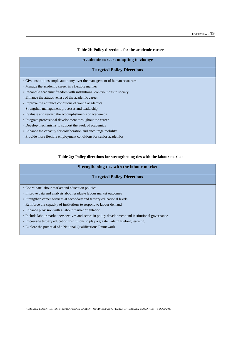#### **Table 2f: Policy directions for the academic career**

#### **Academic career: adapting to change**

# **Targeted Policy Directions**

- Give institutions ample autonomy over the management of human resources
- Manage the academic career in a flexible manner
- Reconcile academic freedom with institutions" contributions to society
- Enhance the attractiveness of the academic career
- Improve the entrance conditions of young academics
- Strengthen management processes and leadership
- Evaluate and reward the accomplishments of academics
- Integrate professional development throughout the career
- Develop mechanisms to support the work of academics
- Enhance the capacity for collaboration and encourage mobility
- Provide more flexible employment conditions for senior academics

#### **Table 2g: Policy directions for strengthening ties with the labour market**

### **Strengthening ties with the labour market**

# **Targeted Policy Directions**

- Coordinate labour market and education policies
- Improve data and analysis about graduate labour market outcomes
- Strengthen career services at secondary and tertiary educational levels
- Reinforce the capacity of institutions to respond to labour demand
- Enhance provision with a labour market orientation
- Include labour market perspectives and actors in policy development and institutional governance
- Encourage tertiary education institutions to play a greater role in lifelong learning
- Explore the potential of a National Qualifications Framework